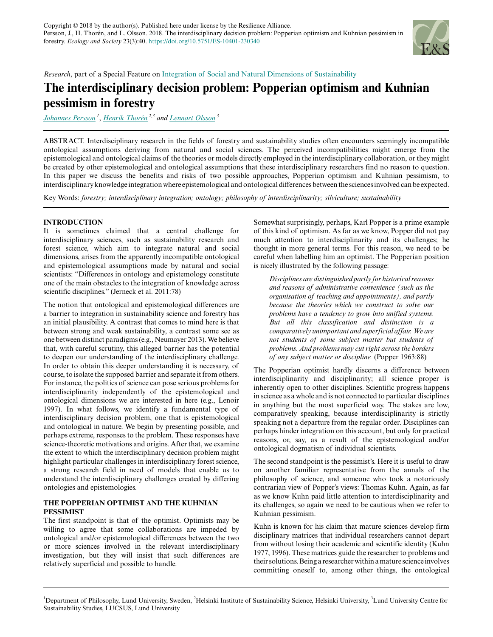

*Research*, part of a Special Feature on [Integration of Social and Natural Dimensions of Sustainability](https://www.ecologyandsociety.org/viewissue.php?sf=135)

# **The interdisciplinary decision problem: Popperian optimism and Kuhnian pessimism in forestry**

*[Johannes Persson](mailto:johannes.persson@fil.lu.se)<sup>1</sup>* , *[Henrik Thorén](mailto:henrik.thoren@helsinki.fi) 2,3 and [Lennart Olsson](mailto:lennart.olsson@lucsus.lu.se)<sup>3</sup>*

ABSTRACT. Interdisciplinary research in the fields of forestry and sustainability studies often encounters seemingly incompatible ontological assumptions deriving from natural and social sciences. The perceived incompatibilities might emerge from the epistemological and ontological claims of the theories or models directly employed in the interdisciplinary collaboration, or they might be created by other epistemological and ontological assumptions that these interdisciplinary researchers find no reason to question. In this paper we discuss the benefits and risks of two possible approaches, Popperian optimism and Kuhnian pessimism, to interdisciplinary knowledge integration where epistemological and ontological differences between the sciences involved can be expected.

Key Words: *forestry; interdisciplinary integration; ontology; philosophy of interdisciplinarity; silviculture; sustainability*

## **INTRODUCTION**

It is sometimes claimed that a central challenge for interdisciplinary sciences, such as sustainability research and forest science, which aim to integrate natural and social dimensions, arises from the apparently incompatible ontological and epistemological assumptions made by natural and social scientists: "Differences in ontology and epistemology constitute one of the main obstacles to the integration of knowledge across scientific disciplines." (Jerneck et al. 2011:78)

The notion that ontological and epistemological differences are a barrier to integration in sustainability science and forestry has an initial plausibility. A contrast that comes to mind here is that between strong and weak sustainability, a contrast some see as one between distinct paradigms (e.g., Neumayer 2013). We believe that, with careful scrutiny, this alleged barrier has the potential to deepen our understanding of the interdisciplinary challenge. In order to obtain this deeper understanding it is necessary, of course, to isolate the supposed barrier and separate it from others. For instance, the politics of science can pose serious problems for interdisciplinarity independently of the epistemological and ontological dimensions we are interested in here (e.g., Lenoir 1997). In what follows, we identify a fundamental type of interdisciplinary decision problem, one that is epistemological and ontological in nature. We begin by presenting possible, and perhaps extreme, responses to the problem. These responses have science-theoretic motivations and origins. After that, we examine the extent to which the interdisciplinary decision problem might highlight particular challenges in interdisciplinary forest science, a strong research field in need of models that enable us to understand the interdisciplinary challenges created by differing ontologies and epistemologies.

## **THE POPPERIAN OPTIMIST AND THE KUHNIAN PESSIMIST**

The first standpoint is that of the optimist. Optimists may be willing to agree that some collaborations are impeded by ontological and/or epistemological differences between the two or more sciences involved in the relevant interdisciplinary investigation, but they will insist that such differences are relatively superficial and possible to handle.

Somewhat surprisingly, perhaps, Karl Popper is a prime example of this kind of optimism. As far as we know, Popper did not pay much attention to interdisciplinarity and its challenges; he thought in more general terms. For this reason, we need to be careful when labelling him an optimist. The Popperian position is nicely illustrated by the following passage:

*Disciplines are distinguished partly for historical reasons and reasons of administrative convenience (such as the organisation of teaching and appointments), and partly because the theories which we construct to solve our problems have a tendency to grow into unified systems. But all this classification and distinction is a comparatively unimportant and superficial affair. We are not students of some subject matter but students of problems. And problems may cut right across the borders of any subject matter or discipline.* (Popper 1963:88)

The Popperian optimist hardly discerns a difference between interdisciplinarity and disciplinarity; all science proper is inherently open to other disciplines. Scientific progress happens in science as a whole and is not connected to particular disciplines in anything but the most superficial way. The stakes are low, comparatively speaking, because interdisciplinarity is strictly speaking not a departure from the regular order. Disciplines can perhaps hinder integration on this account, but only for practical reasons, or, say, as a result of the epistemological and/or ontological dogmatism of individual scientists.

The second standpoint is the pessimist's. Here it is useful to draw on another familiar representative from the annals of the philosophy of science, and someone who took a notoriously contrarian view of Popper's views: Thomas Kuhn. Again, as far as we know Kuhn paid little attention to interdisciplinarity and its challenges, so again we need to be cautious when we refer to Kuhnian pessimism.

Kuhn is known for his claim that mature sciences develop firm disciplinary matrices that individual researchers cannot depart from without losing their academic and scientific identity (Kuhn 1977, 1996). These matrices guide the researcher to problems and their solutions. Being a researcher within a mature science involves committing oneself to, among other things, the ontological

<sup>&</sup>lt;sup>1</sup>Department of Philosophy, Lund University, Sweden, <sup>2</sup>Helsinki Institute of Sustainability Science, Helsinki University, <sup>3</sup>Lund University Centre for Sustainability Studies, LUCSUS, Lund University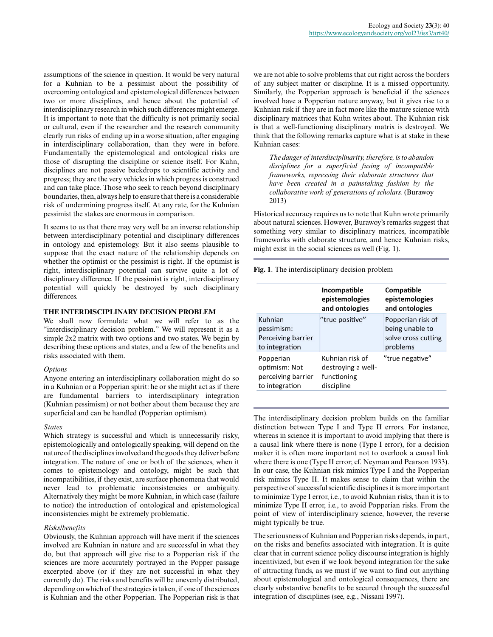assumptions of the science in question. It would be very natural for a Kuhnian to be a pessimist about the possibility of overcoming ontological and epistemological differences between two or more disciplines, and hence about the potential of interdisciplinary research in which such differences might emerge. It is important to note that the difficulty is not primarily social or cultural, even if the researcher and the research community clearly run risks of ending up in a worse situation, after engaging in interdisciplinary collaboration, than they were in before. Fundamentally the epistemological and ontological risks are those of disrupting the discipline or science itself. For Kuhn, disciplines are not passive backdrops to scientific activity and progress; they are the very vehicles in which progress is construed and can take place. Those who seek to reach beyond disciplinary boundaries, then, always help to ensure that there is a considerable risk of undermining progress itself. At any rate, for the Kuhnian pessimist the stakes are enormous in comparison.

It seems to us that there may very well be an inverse relationship between interdisciplinary potential and disciplinary differences in ontology and epistemology. But it also seems plausible to suppose that the exact nature of the relationship depends on whether the optimist or the pessimist is right. If the optimist is right, interdisciplinary potential can survive quite a lot of disciplinary difference. If the pessimist is right, interdisciplinary potential will quickly be destroyed by such disciplinary differences.

## **THE INTERDISCIPLINARY DECISION PROBLEM**

We shall now formulate what we will refer to as the "interdisciplinary decision problem." We will represent it as a simple 2x2 matrix with two options and two states. We begin by describing these options and states, and a few of the benefits and risks associated with them.

#### *Options*

Anyone entering an interdisciplinary collaboration might do so in a Kuhnian or a Popperian spirit: he or she might act as if there are fundamental barriers to interdisciplinary integration (Kuhnian pessimism) or not bother about them because they are superficial and can be handled (Popperian optimism).

#### *States*

Which strategy is successful and which is unnecessarily risky, epistemologically and ontologically speaking, will depend on the nature of the disciplines involved and the goods they deliver before integration. The nature of one or both of the sciences, when it comes to epistemology and ontology, might be such that incompatibilities, if they exist, are surface phenomena that would never lead to problematic inconsistencies or ambiguity. Alternatively they might be more Kuhnian, in which case (failure to notice) the introduction of ontological and epistemological inconsistencies might be extremely problematic.

#### *Risks/benefits*

Obviously, the Kuhnian approach will have merit if the sciences involved are Kuhnian in nature and are successful in what they do, but that approach will give rise to a Popperian risk if the sciences are more accurately portrayed in the Popper passage excerpted above (or if they are not successful in what they currently do). The risks and benefits will be unevenly distributed, depending on which of the strategies is taken, if one of the sciences is Kuhnian and the other Popperian. The Popperian risk is that

we are not able to solve problems that cut right across the borders of any subject matter or discipline. It is a missed opportunity. Similarly, the Popperian approach is beneficial if the sciences involved have a Popperian nature anyway, but it gives rise to a Kuhnian risk if they are in fact more like the mature science with disciplinary matrices that Kuhn writes about. The Kuhnian risk is that a well-functioning disciplinary matrix is destroyed. We think that the following remarks capture what is at stake in these Kuhnian cases:

*The danger of interdisciplinarity, therefore, is to abandon disciplines for a superficial fusing of incompatible frameworks, repressing their elaborate structures that have been created in a painstaking fashion by the collaborative work of generations of scholars.* (Burawoy 2013)

Historical accuracy requires us to note that Kuhn wrote primarily about natural sciences. However, Burawoy's remarks suggest that something very similar to disciplinary matrices, incompatible frameworks with elaborate structure, and hence Kuhnian risks, might exist in the social sciences as well (Fig. 1).

**Fig. 1**. The interdisciplinary decision problem

|                                                                    | Incompatible<br>epistemologies<br>and ontologies                   | Compatible<br>epistemologies<br>and ontologies                          |
|--------------------------------------------------------------------|--------------------------------------------------------------------|-------------------------------------------------------------------------|
| Kuhnian<br>pessimism:<br>Perceiving barrier<br>to integration      | "true positive"                                                    | Popperian risk of<br>being unable to<br>solve cross cutting<br>problems |
| Popperian<br>optimism: Not<br>perceiving barrier<br>to integration | Kuhnian risk of<br>destroving a well-<br>functioning<br>discipline | "true negative"                                                         |

The interdisciplinary decision problem builds on the familiar distinction between Type I and Type II errors. For instance, whereas in science it is important to avoid implying that there is a causal link where there is none (Type I error), for a decision maker it is often more important not to overlook a causal link where there is one (Type II error; cf. Neyman and Pearson 1933). In our case, the Kuhnian risk mimics Type I and the Popperian risk mimics Type II. It makes sense to claim that within the perspective of successful scientific disciplines it is more important to minimize Type I error, i.e., to avoid Kuhnian risks, than it is to minimize Type II error, i.e., to avoid Popperian risks. From the point of view of interdisciplinary science, however, the reverse might typically be true.

The seriousness of Kuhnian and Popperian risks depends, in part, on the risks and benefits associated with integration. It is quite clear that in current science policy discourse integration is highly incentivized, but even if we look beyond integration for the sake of attracting funds, as we must if we want to find out anything about epistemological and ontological consequences, there are clearly substantive benefits to be secured through the successful integration of disciplines (see, e.g., Nissani 1997).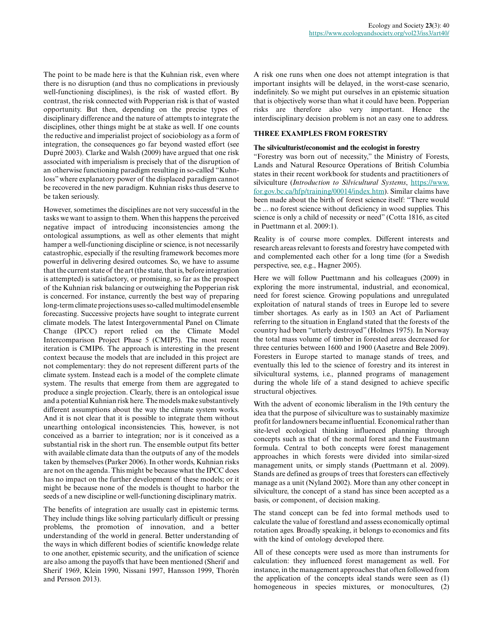The point to be made here is that the Kuhnian risk, even where there is no disruption (and thus no complications in previously well-functioning disciplines), is the risk of wasted effort. By contrast, the risk connected with Popperian risk is that of wasted opportunity. But then, depending on the precise types of disciplinary difference and the nature of attempts to integrate the disciplines, other things might be at stake as well. If one counts the reductive and imperialist project of sociobiology as a form of integration, the consequences go far beyond wasted effort (see Dupré 2003). Clarke and Walsh (2009) have argued that one risk associated with imperialism is precisely that of the disruption of an otherwise functioning paradigm resulting in so-called "Kuhnloss" where explanatory power of the displaced paradigm cannot be recovered in the new paradigm. Kuhnian risks thus deserve to be taken seriously.

However, sometimes the disciplines are not very successful in the tasks we want to assign to them. When this happens the perceived negative impact of introducing inconsistencies among the ontological assumptions, as well as other elements that might hamper a well-functioning discipline or science, is not necessarily catastrophic, especially if the resulting framework becomes more powerful in delivering desired outcomes. So, we have to assume that the current state of the art (the state, that is, before integration is attempted) is satisfactory, or promising, so far as the prospect of the Kuhnian risk balancing or outweighing the Popperian risk is concerned. For instance, currently the best way of preparing long-term climate projections uses so-called multimodel ensemble forecasting. Successive projects have sought to integrate current climate models. The latest Intergovernmental Panel on Climate Change (IPCC) report relied on the Climate Model Intercomparison Project Phase 5 (CMIP5). The most recent iteration is CMIP6. The approach is interesting in the present context because the models that are included in this project are not complementary: they do not represent different parts of the climate system. Instead each is a model of the complete climate system. The results that emerge from them are aggregated to produce a single projection. Clearly, there is an ontological issue and a potential Kuhnian risk here. The models make substantively different assumptions about the way the climate system works. And it is not clear that it is possible to integrate them without unearthing ontological inconsistencies. This, however, is not conceived as a barrier to integration; nor is it conceived as a substantial risk in the short run. The ensemble output fits better with available climate data than the outputs of any of the models taken by themselves (Parker 2006). In other words, Kuhnian risks are not on the agenda. This might be because what the IPCC does has no impact on the further development of these models; or it might be because none of the models is thought to harbor the seeds of a new discipline or well-functioning disciplinary matrix.

The benefits of integration are usually cast in epistemic terms. They include things like solving particularly difficult or pressing problems, the promotion of innovation, and a better understanding of the world in general. Better understanding of the ways in which different bodies of scientific knowledge relate to one another, epistemic security, and the unification of science are also among the payoffs that have been mentioned (Sherif and Sherif 1969, Klein 1990, Nissani 1997, Hansson 1999, Thorén and Persson 2013).

A risk one runs when one does not attempt integration is that important insights will be delayed, in the worst-case scenario, indefinitely. So we might put ourselves in an epistemic situation that is objectively worse than what it could have been. Popperian risks are therefore also very important. Hence the interdisciplinary decision problem is not an easy one to address.

## **THREE EXAMPLES FROM FORESTRY**

## **The silviculturist/economist and the ecologist in forestry**

"Forestry was born out of necessity," the Ministry of Forests, Lands and Natural Resource Operations of British Columbia states in their recent workbook for students and practitioners of silviculture (*Introduction to Silvicultural Systems*, [https://www.](https://www.for.gov.bc.ca/hfp/training/00014/index.htm) [for.gov.bc.ca/hfp/training/00014/index.htm](https://www.for.gov.bc.ca/hfp/training/00014/index.htm)). Similar claims have been made about the birth of forest science itself: "There would be ... no forest science without deficiency in wood supplies. This science is only a child of necessity or need" (Cotta 1816, as cited in Puettmann et al. 2009:1).

Reality is of course more complex. Different interests and research areas relevant to forests and forestry have competed with and complemented each other for a long time (for a Swedish perspective, see, e.g., Hagner 2005).

Here we will follow Puettmann and his colleagues (2009) in exploring the more instrumental, industrial, and economical, need for forest science. Growing populations and unregulated exploitation of natural stands of trees in Europe led to severe timber shortages. As early as in 1503 an Act of Parliament referring to the situation in England stated that the forests of the country had been "utterly destroyed" (Holmes 1975). In Norway the total mass volume of timber in forested areas decreased for three centuries between 1600 and 1900 (Aasetre and Bele 2009). Foresters in Europe started to manage stands of trees, and eventually this led to the science of forestry and its interest in silvicultural systems, i.e., planned programs of management during the whole life of a stand designed to achieve specific structural objectives.

With the advent of economic liberalism in the 19th century the idea that the purpose of silviculture was to sustainably maximize profit for landowners became influential. Economical rather than site-level ecological thinking influenced planning through concepts such as that of the normal forest and the Faustmann formula. Central to both concepts were forest management approaches in which forests were divided into similar-sized management units, or simply stands (Puettmann et al. 2009). Stands are defined as groups of trees that foresters can effectively manage as a unit (Nyland 2002). More than any other concept in silviculture, the concept of a stand has since been accepted as a basis, or component, of decision making.

The stand concept can be fed into formal methods used to calculate the value of forestland and assess economically optimal rotation ages. Broadly speaking, it belongs to economics and fits with the kind of ontology developed there.

All of these concepts were used as more than instruments for calculation: they influenced forest management as well. For instance, in the management approaches that often followed from the application of the concepts ideal stands were seen as (1) homogeneous in species mixtures, or monocultures, (2)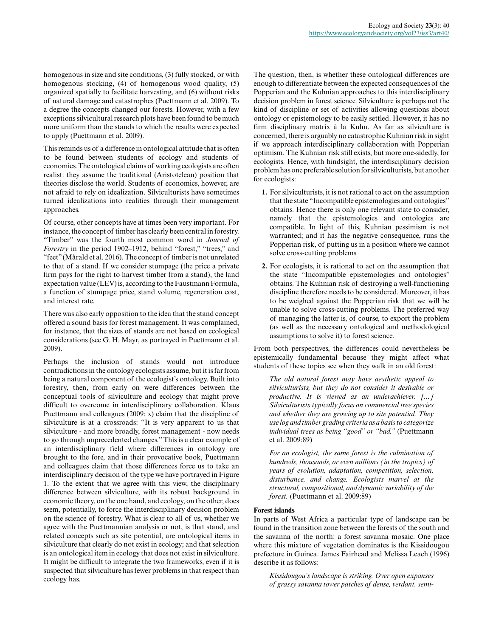homogenous in size and site conditions, (3) fully stocked, or with homogenous stocking, (4) of homogenous wood quality, (5) organized spatially to facilitate harvesting, and (6) without risks of natural damage and catastrophes (Puettmann et al. 2009). To a degree the concepts changed our forests. However, with a few exceptions silvicultural research plots have been found to be much more uniform than the stands to which the results were expected to apply (Puettmann et al. 2009).

This reminds us of a difference in ontological attitude that is often to be found between students of ecology and students of economics. The ontological claims of working ecologists are often realist: they assume the traditional (Aristotelean) position that theories disclose the world. Students of economics, however, are not afraid to rely on idealization. Silviculturists have sometimes turned idealizations into realities through their management approaches.

Of course, other concepts have at times been very important. For instance, the concept of timber has clearly been central in forestry. "Timber" was the fourth most common word in *Journal of Forestry* in the period 1902–1912, behind "forest," "trees," and "feet" (Mårald et al. 2016). The concept of timber is not unrelated to that of a stand. If we consider stumpage (the price a private firm pays for the right to harvest timber from a stand), the land expectation value (LEV) is, according to the Faustmann Formula, a function of stumpage price, stand volume, regeneration cost, and interest rate.

There was also early opposition to the idea that the stand concept offered a sound basis for forest management. It was complained, for instance, that the sizes of stands are not based on ecological considerations (see G. H. Mayr, as portrayed in Puettmann et al. 2009).

Perhaps the inclusion of stands would not introduce contradictions in the ontology ecologists assume, but it is far from being a natural component of the ecologist's ontology. Built into forestry, then, from early on were differences between the conceptual tools of silviculture and ecology that might prove difficult to overcome in interdisciplinary collaboration. Klaus Puettmann and colleagues (2009: x) claim that the discipline of silviculture is at a crossroads: "It is very apparent to us that silviculture - and more broadly, forest management - now needs to go through unprecedented changes." This is a clear example of an interdisciplinary field where differences in ontology are brought to the fore, and in their provocative book, Puettmann and colleagues claim that those differences force us to take an interdisciplinary decision of the type we have portrayed in Figure 1. To the extent that we agree with this view, the disciplinary difference between silviculture, with its robust background in economic theory, on the one hand, and ecology, on the other, does seem, potentially, to force the interdisciplinary decision problem on the science of forestry. What is clear to all of us, whether we agree with the Puettmannian analysis or not, is that stand, and related concepts such as site potential, are ontological items in silviculture that clearly do not exist in ecology; and that selection is an ontological item in ecology that does not exist in silviculture. It might be difficult to integrate the two frameworks, even if it is suspected that silviculture has fewer problems in that respect than ecology has.

The question, then, is whether these ontological differences are enough to differentiate between the expected consequences of the Popperian and the Kuhnian approaches to this interdisciplinary decision problem in forest science. Silviculture is perhaps not the kind of discipline or set of activities allowing questions about ontology or epistemology to be easily settled. However, it has no firm disciplinary matrix à la Kuhn. As far as silviculture is concerned, there is arguably no catastrophic Kuhnian risk in sight if we approach interdisciplinary collaboration with Popperian optimism. The Kuhnian risk still exists, but more one-sidedly, for ecologists. Hence, with hindsight, the interdisciplinary decision problem has one preferable solution for silviculturists, but another for ecologists:

- **1.** For silviculturists, it is not rational to act on the assumption that the state "Incompatible epistemologies and ontologies" obtains. Hence there is only one relevant state to consider, namely that the epistemologies and ontologies are compatible. In light of this, Kuhnian pessimism is not warranted; and it has the negative consequence, runs the Popperian risk, of putting us in a position where we cannot solve cross-cutting problems.
- **2.** For ecologists, it is rational to act on the assumption that the state "Incompatible epistemologies and ontologies" obtains. The Kuhnian risk of destroying a well-functioning discipline therefore needs to be considered. Moreover, it has to be weighed against the Popperian risk that we will be unable to solve cross-cutting problems. The preferred way of managing the latter is, of course, to export the problem (as well as the necessary ontological and methodological assumptions to solve it) to forest science.

From both perspectives, the differences could nevertheless be epistemically fundamental because they might affect what students of these topics see when they walk in an old forest:

*The old natural forest may have aesthetic appeal to silviculturists, but they do not consider it desirable or productive. It is viewed as an underachiever. [...] Silviculturists typically focus on commercial tree species and whether they are growing up to site potential. They use log and timber grading criteria as a basis to categorize individual trees as being "good" or "bad."* (Puettmann et al. 2009:89)

*For an ecologist, the same forest is the culmination of hundreds, thousands, or even millions (in the tropics) of years of evolution, adaptation, competition, selection, disturbance, and change. Ecologists marvel at the structural, compositional, and dynamic variability of the forest.* (Puettmann et al. 2009:89)

## **Forest islands**

In parts of West Africa a particular type of landscape can be found in the transition zone between the forests of the south and the savanna of the north: a forest savanna mosaic. One place where this mixture of vegetation dominates is the Kissidougou prefecture in Guinea. James Fairhead and Melissa Leach (1996) describe it as follows:

*Kissidougou's landscape is striking. Over open expanses of grassy savanna tower patches of dense, verdant, semi-*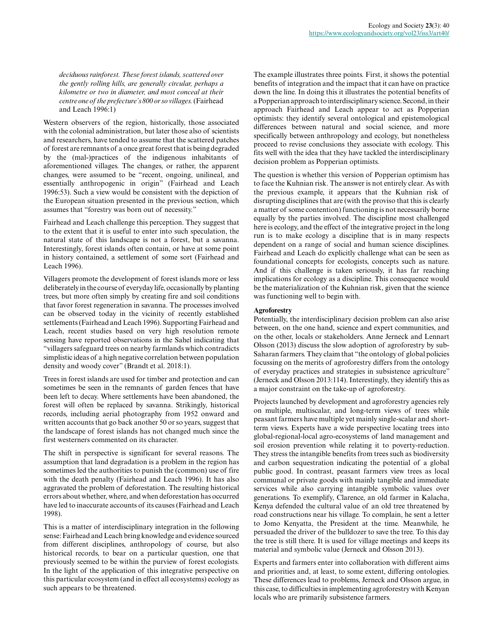*deciduous rainforest. These forest islands, scattered over the gently rolling hills, are generally circular, perhaps a kilometre or two in diameter, and most conceal at their centre one of the prefecture's 800 or so villages.* (Fairhead and Leach 1996:1)

Western observers of the region, historically, those associated with the colonial administration, but later those also of scientists and researchers, have tended to assume that the scattered patches of forest are remnants of a once great forest that is being degraded by the (mal-)practices of the indigenous inhabitants of aforementioned villages. The changes, or rather, the apparent changes, were assumed to be "recent, ongoing, unilineal, and essentially anthropogenic in origin" (Fairhead and Leach 1996:53). Such a view would be consistent with the depiction of the European situation presented in the previous section, which assumes that "forestry was born out of necessity."

Fairhead and Leach challenge this perception. They suggest that to the extent that it is useful to enter into such speculation, the natural state of this landscape is not a forest, but a savanna. Interestingly, forest islands often contain, or have at some point in history contained, a settlement of some sort (Fairhead and Leach 1996).

Villagers promote the development of forest islands more or less deliberately in the course of everyday life, occasionally by planting trees, but more often simply by creating fire and soil conditions that favor forest regeneration in savanna. The processes involved can be observed today in the vicinity of recently established settlements (Fairhead and Leach 1996). Supporting Fairhead and Leach, recent studies based on very high resolution remote sensing have reported observations in the Sahel indicating that "villagers safeguard trees on nearby farmlands which contradicts simplistic ideas of a high negative correlation between population density and woody cover" (Brandt et al. 2018:1).

Trees in forest islands are used for timber and protection and can sometimes be seen in the remnants of garden fences that have been left to decay. Where settlements have been abandoned, the forest will often be replaced by savanna. Strikingly, historical records, including aerial photography from 1952 onward and written accounts that go back another 50 or so years, suggest that the landscape of forest islands has not changed much since the first westerners commented on its character.

The shift in perspective is significant for several reasons. The assumption that land degradation is a problem in the region has sometimes led the authorities to punish the (common) use of fire with the death penalty (Fairhead and Leach 1996). It has also aggravated the problem of deforestation. The resulting historical errors about whether, where, and when deforestation has occurred have led to inaccurate accounts of its causes (Fairhead and Leach 1998).

This is a matter of interdisciplinary integration in the following sense: Fairhead and Leach bring knowledge and evidence sourced from different disciplines, anthropology of course, but also historical records, to bear on a particular question, one that previously seemed to be within the purview of forest ecologists. In the light of the application of this integrative perspective on this particular ecosystem (and in effect all ecosystems) ecology as such appears to be threatened.

The example illustrates three points. First, it shows the potential benefits of integration and the impact that it can have on practice down the line. In doing this it illustrates the potential benefits of a Popperian approach to interdisciplinary science. Second, in their approach Fairhead and Leach appear to act as Popperian optimists: they identify several ontological and epistemological differences between natural and social science, and more specifically between anthropology and ecology, but nonetheless proceed to revise conclusions they associate with ecology. This fits well with the idea that they have tackled the interdisciplinary decision problem as Popperian optimists.

The question is whether this version of Popperian optimism has to face the Kuhnian risk. The answer is not entirely clear. As with the previous example, it appears that the Kuhnian risk of disrupting disciplines that are (with the proviso that this is clearly a matter of some contention) functioning is not necessarily borne equally by the parties involved. The discipline most challenged here is ecology, and the effect of the integrative project in the long run is to make ecology a discipline that is in many respects dependent on a range of social and human science disciplines. Fairhead and Leach do explicitly challenge what can be seen as foundational concepts for ecologists, concepts such as nature. And if this challenge is taken seriously, it has far reaching implications for ecology as a discipline. This consequence would be the materialization of the Kuhnian risk, given that the science was functioning well to begin with.

## **Agroforestry**

Potentially, the interdisciplinary decision problem can also arise between, on the one hand, science and expert communities, and on the other, locals or stakeholders. Anne Jerneck and Lennart Olsson (2013) discuss the slow adoption of agroforestry by sub-Saharan farmers. They claim that "the ontology of global policies focussing on the merits of agroforestry differs from the ontology of everyday practices and strategies in subsistence agriculture" (Jerneck and Olsson 2013:114). Interestingly, they identify this as a major constraint on the take-up of agroforestry.

Projects launched by development and agroforestry agencies rely on multiple, multiscalar, and long-term views of trees while peasant farmers have multiple yet mainly single-scalar and shortterm views. Experts have a wide perspective locating trees into global-regional-local agro-ecosystems of land management and soil erosion prevention while relating it to poverty-reduction. They stress the intangible benefits from trees such as biodiversity and carbon sequestration indicating the potential of a global public good. In contrast, peasant farmers view trees as local communal or private goods with mainly tangible and immediate services while also carrying intangible symbolic values over generations. To exemplify, Clarence, an old farmer in Kalacha, Kenya defended the cultural value of an old tree threatened by road constructions near his village. To complain, he sent a letter to Jomo Kenyatta, the President at the time. Meanwhile, he persuaded the driver of the bulldozer to save the tree. To this day the tree is still there. It is used for village meetings and keeps its material and symbolic value (Jerneck and Olsson 2013).

Experts and farmers enter into collaboration with different aims and priorities and, at least, to some extent, differing ontologies. These differences lead to problems, Jerneck and Olsson argue, in this case, to difficulties in implementing agroforestry with Kenyan locals who are primarily subsistence farmers.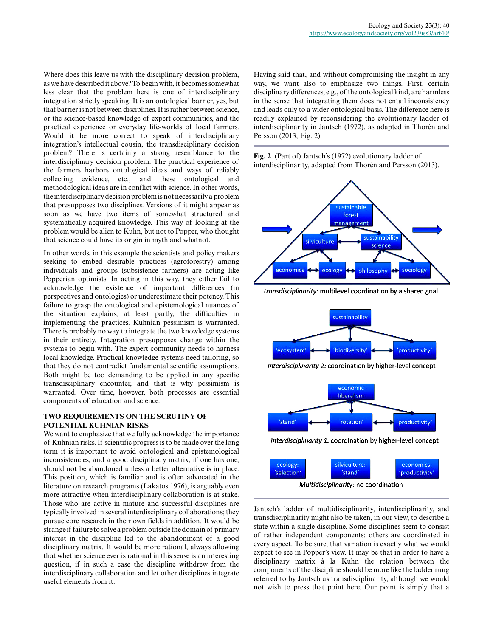Where does this leave us with the disciplinary decision problem, as we have described it above? To begin with, it becomes somewhat less clear that the problem here is one of interdisciplinary integration strictly speaking. It is an ontological barrier, yes, but that barrier is not between disciplines. It is rather between science, or the science-based knowledge of expert communities, and the practical experience or everyday life-worlds of local farmers. Would it be more correct to speak of interdisciplinary integration's intellectual cousin, the transdisciplinary decision problem? There is certainly a strong resemblance to the interdisciplinary decision problem. The practical experience of the farmers harbors ontological ideas and ways of reliably collecting evidence, etc., and these ontological and methodological ideas are in conflict with science. In other words, the interdisciplinary decision problem is not necessarily a problem that presupposes two disciplines. Versions of it might appear as soon as we have two items of somewhat structured and systematically acquired knowledge. This way of looking at the problem would be alien to Kuhn, but not to Popper, who thought that science could have its origin in myth and whatnot.

In other words, in this example the scientists and policy makers seeking to embed desirable practices (agroforestry) among individuals and groups (subsistence farmers) are acting like Popperian optimists. In acting in this way, they either fail to acknowledge the existence of important differences (in perspectives and ontologies) or underestimate their potency. This failure to grasp the ontological and epistemological nuances of the situation explains, at least partly, the difficulties in implementing the practices. Kuhnian pessimism is warranted. There is probably no way to integrate the two knowledge systems in their entirety. Integration presupposes change within the systems to begin with. The expert community needs to harness local knowledge. Practical knowledge systems need tailoring, so that they do not contradict fundamental scientific assumptions. Both might be too demanding to be applied in any specific transdisciplinary encounter, and that is why pessimism is warranted. Over time, however, both processes are essential components of education and science.

# **TWO REQUIREMENTS ON THE SCRUTINY OF POTENTIAL KUHNIAN RISKS**

We want to emphasize that we fully acknowledge the importance of Kuhnian risks. If scientific progress is to be made over the long term it is important to avoid ontological and epistemological inconsistencies, and a good disciplinary matrix, if one has one, should not be abandoned unless a better alternative is in place. This position, which is familiar and is often advocated in the literature on research programs (Lakatos 1976), is arguably even more attractive when interdisciplinary collaboration is at stake. Those who are active in mature and successful disciplines are typically involved in several interdisciplinary collaborations; they pursue core research in their own fields in addition. It would be strange if failure to solve a problem outside the domain of primary interest in the discipline led to the abandonment of a good disciplinary matrix. It would be more rational, always allowing that whether science ever is rational in this sense is an interesting question, if in such a case the discipline withdrew from the interdisciplinary collaboration and let other disciplines integrate useful elements from it.

Having said that, and without compromising the insight in any way, we want also to emphasize two things. First, certain disciplinary differences, e.g., of the ontological kind, are harmless in the sense that integrating them does not entail inconsistency and leads only to a wider ontological basis. The difference here is readily explained by reconsidering the evolutionary ladder of interdisciplinarity in Jantsch (1972), as adapted in Thorén and Persson (2013; Fig. 2).

**Fig. 2**. (Part of) Jantsch's (1972) evolutionary ladder of interdisciplinarity, adapted from Thorén and Persson (2013).







Interdisciplinarity 2: coordination by higher-level concept





Jantsch's ladder of multidisciplinarity, interdisciplinarity, and transdisciplinarity might also be taken, in our view, to describe a state within a single discipline. Some disciplines seem to consist of rather independent components; others are coordinated in every aspect. To be sure, that variation is exactly what we would expect to see in Popper's view. It may be that in order to have a disciplinary matrix à la Kuhn the relation between the components of the discipline should be more like the ladder rung referred to by Jantsch as transdisciplinarity, although we would not wish to press that point here. Our point is simply that a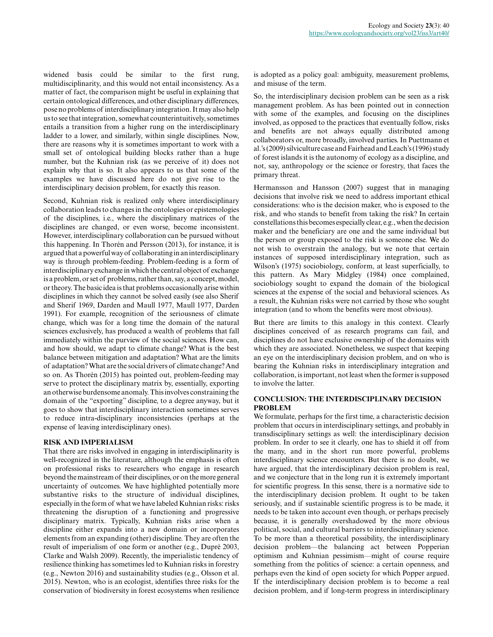widened basis could be similar to the first rung, multidisciplinarity, and this would not entail inconsistency. As a matter of fact, the comparison might be useful in explaining that certain ontological differences, and other disciplinary differences, pose no problems of interdisciplinary integration. It may also help us to see that integration, somewhat counterintuitively, sometimes entails a transition from a higher rung on the interdisciplinary ladder to a lower, and similarly, within single disciplines. Now, there are reasons why it is sometimes important to work with a small set of ontological building blocks rather than a huge number, but the Kuhnian risk (as we perceive of it) does not explain why that is so. It also appears to us that some of the examples we have discussed here do not give rise to the interdisciplinary decision problem, for exactly this reason.

Second, Kuhnian risk is realized only where interdisciplinary collaboration leads to changes in the ontologies or epistemologies of the disciplines, i.e., where the disciplinary matrices of the disciplines are changed, or even worse, become inconsistent. However, interdisciplinary collaboration can be pursued without this happening. In Thorén and Persson (2013), for instance, it is argued that a powerful way of collaborating in an interdisciplinary way is through problem-feeding. Problem-feeding is a form of interdisciplinary exchange in which the central object of exchange is a problem, or set of problems, rather than, say, a concept, model, or theory. The basic idea is that problems occasionally arise within disciplines in which they cannot be solved easily (see also Sherif and Sherif 1969, Darden and Maull 1977, Maull 1977, Darden 1991). For example, recognition of the seriousness of climate change, which was for a long time the domain of the natural sciences exclusively, has produced a wealth of problems that fall immediately within the purview of the social sciences. How can, and how should, we adapt to climate change? What is the best balance between mitigation and adaptation? What are the limits of adaptation? What are the social drivers of climate change? And so on. As Thorén (2015) has pointed out, problem-feeding may serve to protect the disciplinary matrix by, essentially, exporting an otherwise burdensome anomaly. This involves constraining the domain of the "exporting" discipline, to a degree anyway, but it goes to show that interdisciplinary interaction sometimes serves to reduce intra-disciplinary inconsistencies (perhaps at the expense of leaving interdisciplinary ones).

#### **RISK AND IMPERIALISM**

That there are risks involved in engaging in interdisciplinarity is well-recognized in the literature, although the emphasis is often on professional risks to researchers who engage in research beyond the mainstream of their disciplines, or on the more general uncertainty of outcomes. We have highlighted potentially more substantive risks to the structure of individual disciplines, especially in the form of what we have labeled Kuhnian risks: risks threatening the disruption of a functioning and progressive disciplinary matrix. Typically, Kuhnian risks arise when a discipline either expands into a new domain or incorporates elements from an expanding (other) discipline. They are often the result of imperialism of one form or another (e.g., Dupré 2003, Clarke and Walsh 2009). Recently, the imperialistic tendency of resilience thinking has sometimes led to Kuhnian risks in forestry (e.g., Newton 2016) and sustainability studies (e.g., Olsson et al. 2015). Newton, who is an ecologist, identifies three risks for the conservation of biodiversity in forest ecosystems when resilience

is adopted as a policy goal: ambiguity, measurement problems, and misuse of the term.

So, the interdisciplinary decision problem can be seen as a risk management problem. As has been pointed out in connection with some of the examples, and focusing on the disciplines involved, as opposed to the practices that eventually follow, risks and benefits are not always equally distributed among collaborators or, more broadly, involved parties. In Puettmann et al.'s (2009) silviculture case and Fairhead and Leach's (1996) study of forest islands it is the autonomy of ecology as a discipline, and not, say, anthropology or the science or forestry, that faces the primary threat.

Hermansson and Hansson (2007) suggest that in managing decisions that involve risk we need to address important ethical considerations: who is the decision maker, who is exposed to the risk, and who stands to benefit from taking the risk? In certain constellations this becomes especially clear, e.g., when the decision maker and the beneficiary are one and the same individual but the person or group exposed to the risk is someone else. We do not wish to overstrain the analogy, but we note that certain instances of supposed interdisciplinary integration, such as Wilson's (1975) sociobiology, conform, at least superficially, to this pattern. As Mary Midgley (1984) once complained, sociobiology sought to expand the domain of the biological sciences at the expense of the social and behavioral sciences. As a result, the Kuhnian risks were not carried by those who sought integration (and to whom the benefits were most obvious).

But there are limits to this analogy in this context. Clearly disciplines conceived of as research programs can fail, and disciplines do not have exclusive ownership of the domains with which they are associated. Nonetheless, we suspect that keeping an eye on the interdisciplinary decision problem, and on who is bearing the Kuhnian risks in interdisciplinary integration and collaboration, is important, not least when the former is supposed to involve the latter.

## **CONCLUSION: THE INTERDISCIPLINARY DECISION PROBLEM**

We formulate, perhaps for the first time, a characteristic decision problem that occurs in interdisciplinary settings, and probably in transdisciplinary settings as well: the interdisciplinary decision problem. In order to see it clearly, one has to shield it off from the many, and in the short run more powerful, problems interdisciplinary science encounters. But there is no doubt, we have argued, that the interdisciplinary decision problem is real, and we conjecture that in the long run it is extremely important for scientific progress. In this sense, there is a normative side to the interdisciplinary decision problem. It ought to be taken seriously, and if sustainable scientific progress is to be made, it needs to be taken into account even though, or perhaps precisely because, it is generally overshadowed by the more obvious political, social, and cultural barriers to interdisciplinary science. To be more than a theoretical possibility, the interdisciplinary decision problem—the balancing act between Popperian optimism and Kuhnian pessimism—might of course require something from the politics of science: a certain openness, and perhaps even the kind of open society for which Popper argued. If the interdisciplinary decision problem is to become a real decision problem, and if long-term progress in interdisciplinary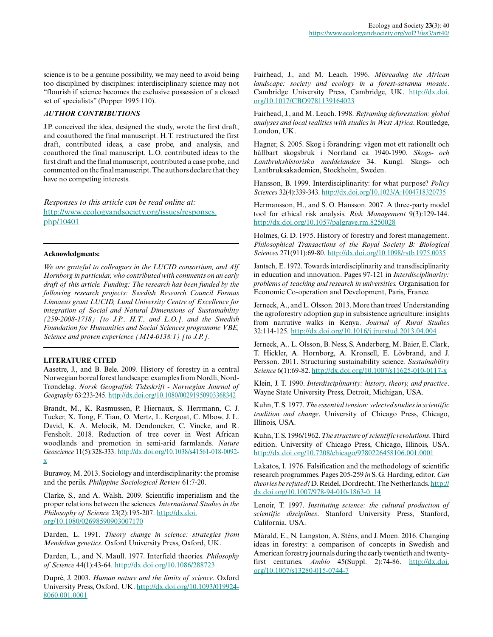science is to be a genuine possibility, we may need to avoid being too disciplined by disciplines: interdisciplinary science may not "flourish if science becomes the exclusive possession of a closed set of specialists" (Popper 1995:110).

## *AUTHOR CONTRIBUTIONS*

J.P. conceived the idea, designed the study, wrote the first draft, and coauthored the final manuscript. H.T. restructured the first draft, contributed ideas, a case probe, and analysis, and coauthored the final manuscript. L.O. contributed ideas to the first draft and the final manuscript, contributed a case probe, and commented on the final manuscript. The authors declare that they have no competing interests.

*Responses to this article can be read online at:* [http://www.ecologyandsociety.org/issues/responses.](http://www.ecologyandsociety.org/issues/responses.php/10401) [php/10401](http://www.ecologyandsociety.org/issues/responses.php/10401)

#### **Acknowledgments:**

*We are grateful to colleagues in the LUCID consortium, and Alf Hornborg in particular, who contributed with comments on an early draft of this article. Funding: The research has been funded by the following research projects: Swedish Research Council Formas Linnaeus grant LUCID, Lund University Centre of Excellence for integration of Social and Natural Dimensions of Sustainability (259-2008-1718) [to J.P., H.T., and L.O.], and the Swedish Foundation for Humanities and Social Sciences programme VBE, Science and proven experience (M14-0138:1) [to J.P.].*

## **LITERATURE CITED**

Aasetre, J., and B. Bele. 2009. History of forestry in a central Norwegian boreal forest landscape: examples from Nordli, Nord-Trøndelag. *Norsk Geografisk Tidsskrift - Norwegian Journal of Geography* 63:233-245. [http://dx.doi.org/10.1080/00291950903368342](http://dx.doi.org/10.1080%2F00291950903368342) 

Brandt, M., K. Rasmussen, P. Hiernaux, S. Herrmann, C. J. Tucker, X. Tong, F. Tian, O. Mertz, L. Kergoat, C. Mbow, J. L. David, K. A. Melocik, M. Dendoncker, C. Vincke, and R. Fensholt. 2018. Reduction of tree cover in West African woodlands and promotion in semi-arid farmlands. *Nature Geoscience* 11(5):328-333. [http://dx.doi.org/10.1038/s41561-018-0092](http://dx.doi.org/10.1038%2Fs41561-018-0092-x) [x](http://dx.doi.org/10.1038%2Fs41561-018-0092-x)

Burawoy, M. 2013. Sociology and interdisciplinarity: the promise and the perils. *Philippine Sociological Review* 61:7-20.

Clarke, S., and A. Walsh. 2009. Scientific imperialism and the proper relations between the sciences. *International Studies in the Philosophy of Science* 23(2):195-207. [http://dx.doi.](http://dx.doi.org/10.1080%2F02698590903007170) [org/10.1080/02698590903007170](http://dx.doi.org/10.1080%2F02698590903007170) 

Darden, L. 1991. *Theory change in science: strategies from Mendelian genetics*. Oxford University Press, Oxford, UK.

Darden, L., and N. Maull. 1977. Interfield theories. *Philosophy of Science* 44(1):43-64. [http://dx.doi.org/10.1086/288723](http://dx.doi.org/10.1086%2F288723) 

Dupré, J. 2003. *Human nature and the limits of science*. Oxford University Press, Oxford, UK. [http://dx.doi.org/10.1093/019924](http://dx.doi.org/10.1093%2F0199248060.001.0001) [8060.001.0001](http://dx.doi.org/10.1093%2F0199248060.001.0001)

Fairhead, J., and M. Leach. 1996. *Misreading the African landscape: society and ecology in a forest-savanna mosaic*. Cambridge University Press, Cambridge, UK. [http://dx.doi.](http://dx.doi.org/10.1017%2FCBO9781139164023) [org/10.1017/CBO9781139164023](http://dx.doi.org/10.1017%2FCBO9781139164023)

Fairhead, J., and M. Leach. 1998. *Reframing deforestation: global analyses and local realities with studies in West Africa*. Routledge, London, UK.

Hagner, S. 2005. Skog i förändring: vägen mot ett rationellt och hållbart skogsbruk i Norrland ca 1940-1990. *Skogs- och Lantbrukshistoriska meddelanden* 34. Kungl. Skogs- och Lantbruksakademien, Stockholm, Sweden.

Hansson, B. 1999. Interdisciplinarity: for what purpose? *Policy Sciences* 32(4):339-343. [http://dx.doi.org/10.1023/A:1004718320735](http://dx.doi.org/10.1023%2FA%3A1004718320735) 

Hermansson, H., and S. O. Hansson. 2007. A three-party model tool for ethical risk analysis. *Risk Management* 9(3):129-144. [http://dx.doi.org/10.1057/palgrave.rm.8250028](http://dx.doi.org/10.1057%2Fpalgrave.rm.8250028)

Holmes, G. D. 1975. History of forestry and forest management. *Philosophical Transactions of the Royal Society B: Biological Sciences* 271(911):69-80. [http://dx.doi.org/10.1098/rstb.1975.0035](http://dx.doi.org/10.1098%2Frstb.1975.0035) 

Jantsch, E. 1972. Towards interdisciplinarity and transdisciplinarity in education and innovation. Pages 97-121 in *Interdisciplinarity: problems of teaching and research in universities.* Organisation for Economic Co-operation and Development, Paris, France.

Jerneck, A., and L. Olsson. 2013. More than trees! Understanding the agroforestry adoption gap in subsistence agriculture: insights from narrative walks in Kenya. *Journal of Rural Studies* 32:114-125. [http://dx.doi.org/10.1016/j.jrurstud.2013.04.004](http://dx.doi.org/10.1016%2Fj.jrurstud.2013.04.004) 

Jerneck, A.. L. Olsson, B. Ness, S. Anderberg, M. Baier, E. Clark, T. Hickler, A. Hornborg, A. Kronsell, E. Lövbrand, and J. Persson. 2011. Structuring sustainability science. *Sustainability Science* 6(1):69-82.<http://dx.doi.org/10.1007/s11625-010-0117-x>

Klein, J. T. 1990. *Interdisciplinarity: history, theory, and practice*. Wayne State University Press, Detroit, Michigan, USA.

Kuhn, T. S. 1977. *The essential tension: selected studies in scientific tradition and change*. University of Chicago Press, Chicago, Illinois, USA.

Kuhn, T. S. 1996/1962. *The structure of scientific revolutions*. Third edition. University of Chicago Press, Chicago, Illinois, USA. [http://dx.doi.org/10.7208/chicago/9780226458106.001.0001](http://dx.doi.org/10.7208%2Fchicago%2F9780226458106.001.0001) 

Lakatos, I. 1976. Falsification and the methodology of scientific research programmes. Pages 205-259 *in* S. G. Harding, editor. *Can theories be refuted*? D. Reidel, Dordrecht, The Netherlands. [http://](http://dx.doi.org/10.1007%2F978-94-010-1863-0_14) [dx.doi.org/10.1007/978-94-010-1863-0\\_14](http://dx.doi.org/10.1007%2F978-94-010-1863-0_14) 

Lenoir, T. 1997. *Instituting science: the cultural production of scientific disciplines*. Stanford University Press, Stanford, California, USA.

Mårald, E., N. Langston, A. Sténs, and J. Moen. 2016. Changing ideas in forestry: a comparison of concepts in Swedish and American forestry journals during the early twentieth and twentyfirst centuries. *Ambio* 45(Suppl. 2):74-86. [http://dx.doi.](http://dx.doi.org/10.1007%2Fs13280-015-0744-7) [org/10.1007/s13280-015-0744-7](http://dx.doi.org/10.1007%2Fs13280-015-0744-7)